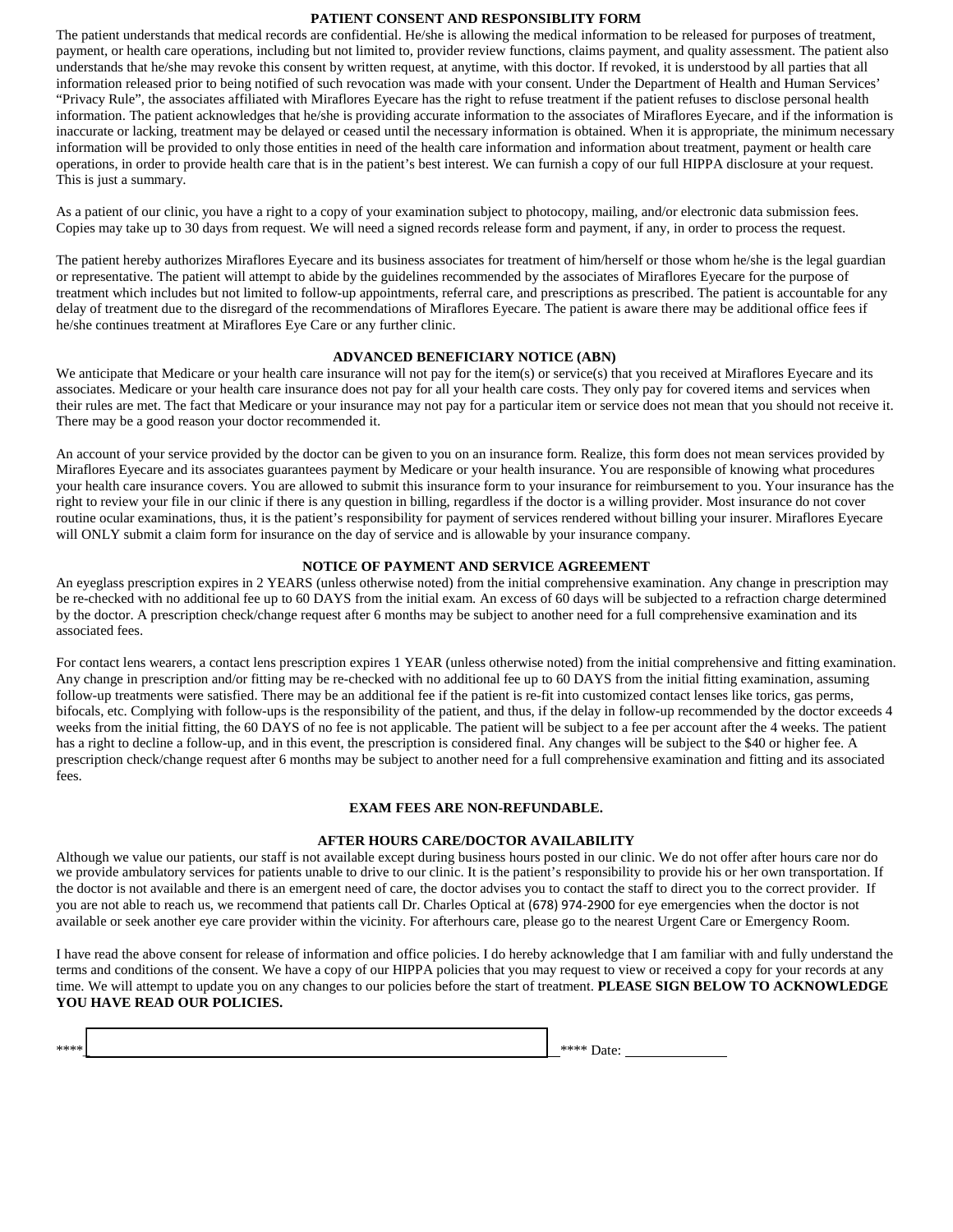### **PATIENT CONSENT AND RESPONSIBLITY FORM**

The patient understands that medical records are confidential. He/she is allowing the medical information to be released for purposes of treatment, payment, or health care operations, including but not limited to, provider review functions, claims payment, and quality assessment. The patient also understands that he/she may revoke this consent by written request, at anytime, with this doctor. If revoked, it is understood by all parties that all information released prior to being notified of such revocation was made with your consent. Under the Department of Health and Human Services' "Privacy Rule", the associates affiliated with Miraflores Eyecare has the right to refuse treatment if the patient refuses to disclose personal health information. The patient acknowledges that he/she is providing accurate information to the associates of Miraflores Eyecare, and if the information is inaccurate or lacking, treatment may be delayed or ceased until the necessary information is obtained. When it is appropriate, the minimum necessary information will be provided to only those entities in need of the health care information and information about treatment, payment or health care operations, in order to provide health care that is in the patient's best interest. We can furnish a copy of our full HIPPA disclosure at your request. This is just a summary.

As a patient of our clinic, you have a right to a copy of your examination subject to photocopy, mailing, and/or electronic data submission fees. Copies may take up to 30 days from request. We will need a signed records release form and payment, if any, in order to process the request.

The patient hereby authorizes Miraflores Eyecare and its business associates for treatment of him/herself or those whom he/she is the legal guardian or representative. The patient will attempt to abide by the guidelines recommended by the associates of Miraflores Eyecare for the purpose of treatment which includes but not limited to follow-up appointments, referral care, and prescriptions as prescribed. The patient is accountable for any delay of treatment due to the disregard of the recommendations of Miraflores Eyecare. The patient is aware there may be additional office fees if he/she continues treatment at Miraflores Eye Care or any further clinic.

### **ADVANCED BENEFICIARY NOTICE (ABN)**

We anticipate that Medicare or your health care insurance will not pay for the item(s) or service(s) that you received at Miraflores Eyecare and its associates. Medicare or your health care insurance does not pay for all your health care costs. They only pay for covered items and services when their rules are met. The fact that Medicare or your insurance may not pay for a particular item or service does not mean that you should not receive it. There may be a good reason your doctor recommended it.

An account of your service provided by the doctor can be given to you on an insurance form. Realize, this form does not mean services provided by Miraflores Eyecare and its associates guarantees payment by Medicare or your health insurance. You are responsible of knowing what procedures your health care insurance covers. You are allowed to submit this insurance form to your insurance for reimbursement to you. Your insurance has the right to review your file in our clinic if there is any question in billing, regardless if the doctor is a willing provider. Most insurance do not cover routine ocular examinations, thus, it is the patient's responsibility for payment of services rendered without billing your insurer. Miraflores Eyecare will ONLY submit a claim form for insurance on the day of service and is allowable by your insurance company.

### **NOTICE OF PAYMENT AND SERVICE AGREEMENT**

An eyeglass prescription expires in 2 YEARS (unless otherwise noted) from the initial comprehensive examination. Any change in prescription may be re-checked with no additional fee up to 60 DAYS from the initial exam. An excess of 60 days will be subjected to a refraction charge determined by the doctor. A prescription check/change request after 6 months may be subject to another need for a full comprehensive examination and its associated fees.

For contact lens wearers, a contact lens prescription expires 1 YEAR (unless otherwise noted) from the initial comprehensive and fitting examination. Any change in prescription and/or fitting may be re-checked with no additional fee up to 60 DAYS from the initial fitting examination, assuming follow-up treatments were satisfied. There may be an additional fee if the patient is re-fit into customized contact lenses like torics, gas perms, bifocals, etc. Complying with follow-ups is the responsibility of the patient, and thus, if the delay in follow-up recommended by the doctor exceeds 4 weeks from the initial fitting, the 60 DAYS of no fee is not applicable. The patient will be subject to a fee per account after the 4 weeks. The patient has a right to decline a follow-up, and in this event, the prescription is considered final. Any changes will be subject to the \$40 or higher fee. A prescription check/change request after 6 months may be subject to another need for a full comprehensive examination and fitting and its associated fees.

#### **EXAM FEES ARE NON-REFUNDABLE.**

#### **AFTER HOURS CARE/DOCTOR AVAILABILITY**

Although we value our patients, our staff is not available except during business hours posted in our clinic. We do not offer after hours care nor do we provide ambulatory services for patients unable to drive to our clinic. It is the patient's responsibility to provide his or her own transportation. If the doctor is not available and there is an emergent need of care, the doctor advises you to contact the staff to direct you to the correct provider. If you are not able to reach us, we recommend that patients call Dr. Charles Optical at (678) 974-2900 for eye emergencies when the doctor is not available or seek another eye care provider within the vicinity. For afterhours care, please go to the nearest Urgent Care or Emergency Room.

I have read the above consent for release of information and office policies. I do hereby acknowledge that I am familiar with and fully understand the terms and conditions of the consent. We have a copy of our HIPPA policies that you may request to view or received a copy for your records at any time. We will attempt to update you on any changes to our policies before the start of treatment. **PLEASE SIGN BELOW TO ACKNOWLEDGE YOU HAVE READ OUR POLICIES.** 

| **** | $\sim$ $\sim$ $\sim$ $\sim$ $\sim$ $\sim$<br>Date:<br>$\sim$ 0.00 |  |
|------|-------------------------------------------------------------------|--|